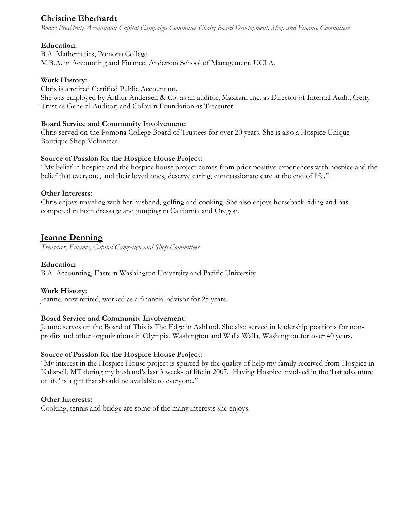# **Christine Eberhardt**

*Board President; Accountant; Capital Campaign Committee Chair; Board Development, Shop and Finance Committees* 

### **Education:**

B.A. Mathematics, Pomona College M.B.A. in Accounting and Finance, Anderson School of Management, UCLA.

### **Work History:**

Chris is a retired Certified Public Accountant. She was employed by Arthur Andersen & Co. as an auditor; Maxxam Inc. as Director of Internal Audit; Getty Trust as General Auditor; and Colburn Foundation as Treasurer.

### **Board Service and Community Involvement:**

Chris served on the Pomona College Board of Trustees for over 20 years. She is also a Hospice Unique Boutique Shop Volunteer.

### **Source of Passion for the Hospice House Project:**

"My belief in hospice and the hospice house project comes from prior positive experiences with hospice and the belief that everyone, and their loved ones, deserve caring, compassionate care at the end of life."

### **Other Interests:**

Chris enjoys traveling with her husband, golfing and cooking. She also enjoys horseback riding and has competed in both dressage and jumping in California and Oregon,

# **Jeanne Denning**

*Treasurer; Finance, Capital Campaign and Shop Committees*

### **Education**:

B.A. Accounting, Eastern Washington University and Pacific University

## **Work History:**

Jeanne, now retired, worked as a financial advisor for 25 years.

### **Board Service and Community Involvement:**

Jeanne serves on the Board of This is The Edge in Ashland. She also served in leadership positions for nonprofits and other organizations in Olympia, Washington and Walla Walla, Washington for over 40 years.

### **Source of Passion for the Hospice House Project:**

"My interest in the Hospice House project is spurred by the quality of help my family received from Hospice in Kalispell, MT during my husband's last 3 weeks of life in 2007. Having Hospice involved in the 'last adventure of life' is a gift that should be available to everyone."

### **Other Interests:**

Cooking, tennis and bridge are some of the many interests she enjoys.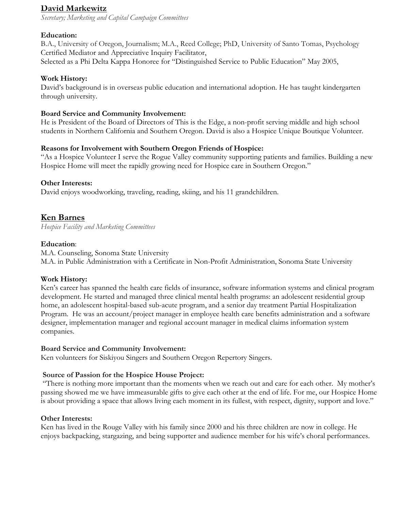# **David Markewitz**

*Secretary; Marketing and Capital Campaign Committees*

### **Education:**

B.A., University of Oregon, Journalism; M.A., Reed College; PhD, University of Santo Tomas, Psychology Certified Mediator and Appreciative Inquiry Facilitator,

Selected as a Phi Delta Kappa Honoree for "Distinguished Service to Public Education" May 2005,

### **Work History:**

David's background is in overseas public education and international adoption. He has taught kindergarten through university.

### **Board Service and Community Involvement:**

He is President of the Board of Directors of This is the Edge, a non-profit serving middle and high school students in Northern California and Southern Oregon. David is also a Hospice Unique Boutique Volunteer.

### **Reasons for Involvement with Southern Oregon Friends of Hospice:**

"As a Hospice Volunteer I serve the Rogue Valley community supporting patients and families. Building a new Hospice Home will meet the rapidly growing need for Hospice care in Southern Oregon."

### **Other Interests:**

David enjoys woodworking, traveling, reading, skiing, and his 11 grandchildren.

# **Ken Barnes**

*Hospice Facility and Marketing Committees* 

### **Education**:

M.A. Counseling, Sonoma State University M.A. in Public Administration with a Certificate in Non-Profit Administration, Sonoma State University

### **Work History:**

Ken's career has spanned the health care fields of insurance, software information systems and clinical program development. He started and managed three clinical mental health programs: an adolescent residential group home, an adolescent hospital-based sub-acute program, and a senior day treatment Partial Hospitalization Program. He was an account/project manager in employee health care benefits administration and a software designer, implementation manager and regional account manager in medical claims information system companies.

### **Board Service and Community Involvement:**

Ken volunteers for Siskiyou Singers and Southern Oregon Repertory Singers.

### **Source of Passion for the Hospice House Project:**

"There is nothing more important than the moments when we reach out and care for each other. My mother's passing showed me we have immeasurable gifts to give each other at the end of life. For me, our Hospice Home is about providing a space that allows living each moment in its fullest, with respect, dignity, support and love."

### **Other Interests:**

Ken has lived in the Rouge Valley with his family since 2000 and his three children are now in college. He enjoys backpacking, stargazing, and being supporter and audience member for his wife's choral performances.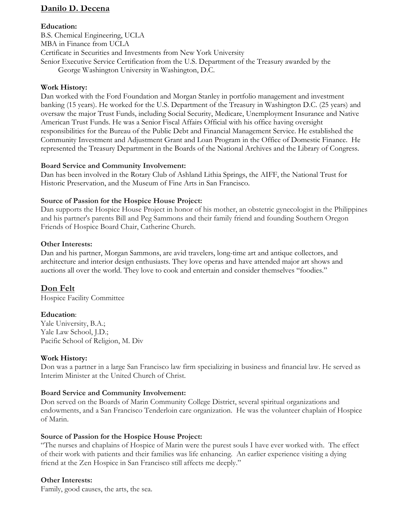## **Danilo D. Decena**

#### **Education:**

B.S. Chemical Engineering, UCLA MBA in Finance from UCLA Certificate in Securities and Investments from New York University Senior Executive Service Certification from the U.S. Department of the Treasury awarded by the George Washington University in Washington, D.C.

#### **Work History:**

Dan worked with the Ford Foundation and Morgan Stanley in portfolio management and investment banking (15 years). He worked for the U.S. Department of the Treasury in Washington D.C. (25 years) and oversaw the major Trust Funds, including Social Security, Medicare, Unemployment Insurance and Native American Trust Funds. He was a Senior Fiscal Affairs Official with his office having oversight responsibilities for the Bureau of the Public Debt and Financial Management Service. He established the Community Investment and Adjustment Grant and Loan Program in the Office of Domestic Finance. He represented the Treasury Department in the Boards of the National Archives and the Library of Congress.

#### **Board Service and Community Involvement:**

Dan has been involved in the Rotary Club of Ashland Lithia Springs, the AIFF, the National Trust for Historic Preservation, and the Museum of Fine Arts in San Francisco.

#### **Source of Passion for the Hospice House Project:**

Dan supports the Hospice House Project in honor of his mother, an obstetric gynecologist in the Philippines and his partner's parents Bill and Peg Sammons and their family friend and founding Southern Oregon Friends of Hospice Board Chair, Catherine Church.

#### **Other Interests:**

Dan and his partner, Morgan Sammons, are avid travelers, long-time art and antique collectors, and architecture and interior design enthusiasts. They love operas and have attended major art shows and auctions all over the world. They love to cook and entertain and consider themselves "foodies."

## **Don Felt**

Hospice Facility Committee

### **Education**:

Yale University, B.A.; Yale Law School, J.D.; Pacific School of Religion, M. Div

### **Work History:**

Don was a partner in a large San Francisco law firm specializing in business and financial law. He served as Interim Minister at the United Church of Christ.

### **Board Service and Community Involvement:**

Don served on the Boards of Marin Community College District, several spiritual organizations and endowments, and a San Francisco Tenderloin care organization. He was the volunteer chaplain of Hospice of Marin.

### **Source of Passion for the Hospice House Project:**

"The nurses and chaplains of Hospice of Marin were the purest souls I have ever worked with. The effect of their work with patients and their families was life enhancing. An earlier experience visiting a dying friend at the Zen Hospice in San Francisco still affects me deeply."

#### **Other Interests:**

Family, good causes, the arts, the sea.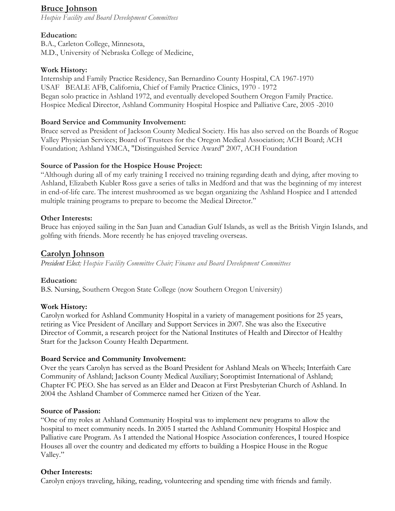# **Bruce Johnson**

*Hospice Facility and Board Development Committees* 

## **Education:**

B.A., Carleton College, Minnesota, M.D., University of Nebraska College of Medicine,

## **Work History:**

Internship and Family Practice Residency, San Bernardino County Hospital, CA 1967-1970 USAF BEALE AFB, California, Chief of Family Practice Clinics, 1970 - 1972 Began solo practice in Ashland 1972, and eventually developed Southern Oregon Family Practice. Hospice Medical Director, Ashland Community Hospital Hospice and Palliative Care, 2005 -2010

### **Board Service and Community Involvement:**

Bruce served as President of Jackson County Medical Society. His has also served on the Boards of Rogue Valley Physician Services; Board of Trustees for the Oregon Medical Association; ACH Board; ACH Foundation; Ashland YMCA, "Distinguished Service Award" 2007, ACH Foundation

## **Source of Passion for the Hospice House Project:**

"Although during all of my early training I received no training regarding death and dying, after moving to Ashland, Elizabeth Kubler Ross gave a series of talks in Medford and that was the beginning of my interest in end-of-life care. The interest mushroomed as we began organizing the Ashland Hospice and I attended multiple training programs to prepare to become the Medical Director."

### **Other Interests:**

Bruce has enjoyed sailing in the San Juan and Canadian Gulf Islands, as well as the British Virgin Islands, and golfing with friends. More recently he has enjoyed traveling overseas.

## **Carolyn Johnson**

*President Elect; Hospice Facility Committee Chair; Finance and Board Development Committees* 

## **Education:**

B.S. Nursing, Southern Oregon State College (now Southern Oregon University)

## **Work History:**

Carolyn worked for Ashland Community Hospital in a variety of management positions for 25 years, retiring as Vice President of Ancillary and Support Services in 2007. She was also the Executive Director of Commit, a research project for the National Institutes of Health and Director of Healthy Start for the Jackson County Health Department.

### **Board Service and Community Involvement:**

Over the years Carolyn has served as the Board President for Ashland Meals on Wheels; Interfaith Care Community of Ashland; Jackson County Medical Auxiliary; Soroptimist International of Ashland; Chapter FC PEO. She has served as an Elder and Deacon at First Presbyterian Church of Ashland. In 2004 the Ashland Chamber of Commerce named her Citizen of the Year.

### **Source of Passion:**

"One of my roles at Ashland Community Hospital was to implement new programs to allow the hospital to meet community needs. In 2005 I started the Ashland Community Hospital Hospice and Palliative care Program. As I attended the National Hospice Association conferences, I toured Hospice Houses all over the country and dedicated my efforts to building a Hospice House in the Rogue Valley."

### **Other Interests:**

Carolyn enjoys traveling, hiking, reading, volunteering and spending time with friends and family.